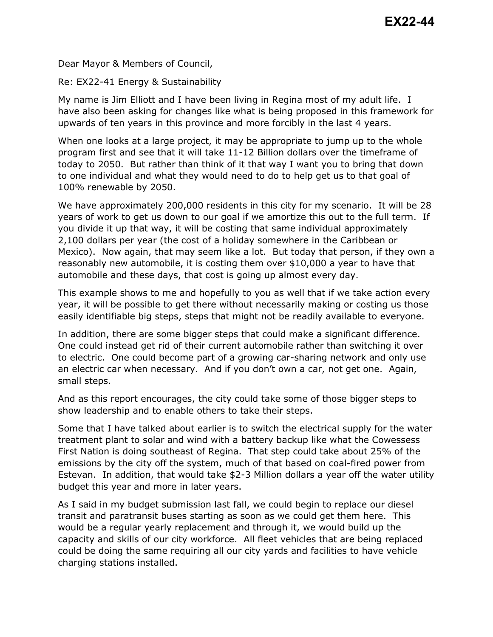Dear Mayor & Members of Council,

## Re: EX22-41 Energy & Sustainability

My name is Jim Elliott and I have been living in Regina most of my adult life. I have also been asking for changes like what is being proposed in this framework for upwards of ten years in this province and more forcibly in the last 4 years.

When one looks at a large project, it may be appropriate to jump up to the whole program first and see that it will take 11-12 Billion dollars over the timeframe of today to 2050. But rather than think of it that way I want you to bring that down to one individual and what they would need to do to help get us to that goal of 100% renewable by 2050.

We have approximately 200,000 residents in this city for my scenario. It will be 28 years of work to get us down to our goal if we amortize this out to the full term. If you divide it up that way, it will be costing that same individual approximately 2,100 dollars per year (the cost of a holiday somewhere in the Caribbean or Mexico). Now again, that may seem like a lot. But today that person, if they own a reasonably new automobile, it is costing them over \$10,000 a year to have that automobile and these days, that cost is going up almost every day.

This example shows to me and hopefully to you as well that if we take action every year, it will be possible to get there without necessarily making or costing us those easily identifiable big steps, steps that might not be readily available to everyone.

In addition, there are some bigger steps that could make a significant difference. One could instead get rid of their current automobile rather than switching it over to electric. One could become part of a growing car-sharing network and only use an electric car when necessary. And if you don't own a car, not get one. Again, small steps.

And as this report encourages, the city could take some of those bigger steps to show leadership and to enable others to take their steps.

Some that I have talked about earlier is to switch the electrical supply for the water treatment plant to solar and wind with a battery backup like what the Cowessess First Nation is doing southeast of Regina. That step could take about 25% of the emissions by the city off the system, much of that based on coal-fired power from Estevan. In addition, that would take \$2-3 Million dollars a year off the water utility budget this year and more in later years.

As I said in my budget submission last fall, we could begin to replace our diesel transit and paratransit buses starting as soon as we could get them here. This would be a regular yearly replacement and through it, we would build up the capacity and skills of our city workforce. All fleet vehicles that are being replaced could be doing the same requiring all our city yards and facilities to have vehicle charging stations installed.